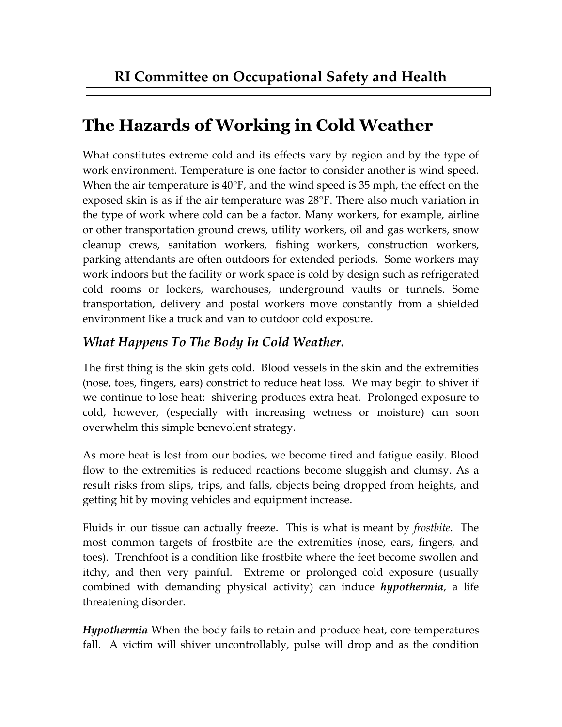## **The Hazards of Working in Cold Weather**

What constitutes extreme cold and its effects vary by region and by the type of work environment. Temperature is one factor to consider another is wind speed. When the air temperature is 40°F, and the wind speed is 35 mph, the effect on the exposed skin is as if the air temperature was 28°F. There also much variation in the type of work where cold can be a factor. Many workers, for example, airline or other transportation ground crews, utility workers, oil and gas workers, snow cleanup crews, sanitation workers, fishing workers, construction workers, parking attendants are often outdoors for extended periods. Some workers may work indoors but the facility or work space is cold by design such as refrigerated cold rooms or lockers, warehouses, underground vaults or tunnels. Some transportation, delivery and postal workers move constantly from a shielded environment like a truck and van to outdoor cold exposure.

## *What Happens To The Body In Cold Weather.*

The first thing is the skin gets cold. Blood vessels in the skin and the extremities (nose, toes, fingers, ears) constrict to reduce heat loss. We may begin to shiver if we continue to lose heat: shivering produces extra heat. Prolonged exposure to cold, however, (especially with increasing wetness or moisture) can soon overwhelm this simple benevolent strategy.

As more heat is lost from our bodies, we become tired and fatigue easily. Blood flow to the extremities is reduced reactions become sluggish and clumsy. As a result risks from slips, trips, and falls, objects being dropped from heights, and getting hit by moving vehicles and equipment increase.

Fluids in our tissue can actually freeze. This is what is meant by *frostbite*. The most common targets of frostbite are the extremities (nose, ears, fingers, and toes). Trenchfoot is a condition like frostbite where the feet become swollen and itchy, and then very painful. Extreme or prolonged cold exposure (usually combined with demanding physical activity) can induce *hypothermia*, a life threatening disorder.

*Hypothermia* When the body fails to retain and produce heat, core temperatures fall. A victim will shiver uncontrollably, pulse will drop and as the condition